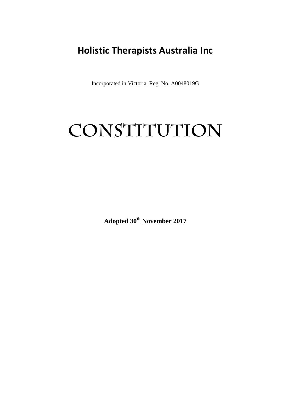# **Holistic Therapists Australia Inc**

Incorporated in Victoria. Reg. No. A0048019G

# **CONSTITUTION**

**Adopted 30th November 2017**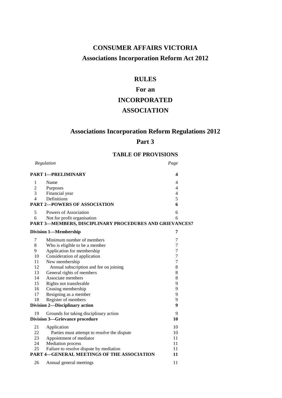# **CONSUMER AFFAIRS VICTORIA Associations Incorporation Reform Act 2012**

# **RULES**

# **For an INCORPORATED ASSOCIATION**

# **Associations Incorporation Reform Regulations 2012**

# **Part 3**

# **TABLE OF PROVISIONS**

|                                       | Regulation                                              | Page                     |
|---------------------------------------|---------------------------------------------------------|--------------------------|
|                                       | <b>PART 1-PRELIMINARY</b>                               | 4                        |
| 1                                     | Name                                                    | 4                        |
| $\sqrt{2}$                            | Purposes                                                | $\overline{4}$           |
| 3                                     | Financial year                                          | $\overline{\mathcal{A}}$ |
| $\overline{4}$                        | Definitions                                             | 5                        |
|                                       | <b>PART 2-POWERS OF ASSOCIATION</b>                     | 6                        |
| 5                                     | Powers of Association                                   | 6                        |
| 6                                     | Not for profit organisation                             | 6                        |
|                                       | PART 3-MEMBERS, DISCIPLINARY PROCEDURES AND GRIEVANCES7 |                          |
| <b>Division 1-Membership</b>          |                                                         | 7                        |
| 7                                     | Minimum number of members                               | 7                        |
| 8                                     | Who is eligible to be a member                          | 7                        |
| 9                                     | Application for membership                              | $\tau$                   |
| 10                                    | Consideration of application                            | $\tau$                   |
| 11                                    | New membership                                          | $\overline{7}$           |
| 12                                    | Annual subscription and fee on joining                  | 8                        |
| 13                                    | General rights of members                               | 8                        |
| 14                                    | Associate members                                       | 8                        |
| 15                                    | Rights not transferable                                 | 9                        |
| 16                                    | Ceasing membership                                      | 9                        |
| 17                                    | Resigning as a member                                   | 9                        |
| 18                                    | Register of members                                     | 9                        |
|                                       | Division 2-Disciplinary action                          | 9                        |
| 19                                    | Grounds for taking disciplinary action                  | 9                        |
| <b>Division 3-Grievance procedure</b> |                                                         | 10                       |
| 21                                    | Application                                             | 10                       |
| 22                                    | Parties must attempt to resolve the dispute             | 10                       |
| 23                                    | Appointment of mediator                                 | 11                       |
| 24                                    | <b>Mediation</b> process                                | 11                       |
| 25                                    | Failure to resolve dispute by mediation                 | 11                       |
|                                       | <b>PART 4-GENERAL MEETINGS OF THE ASSOCIATION</b>       | 11                       |
| 26                                    | Annual general meetings                                 | 11                       |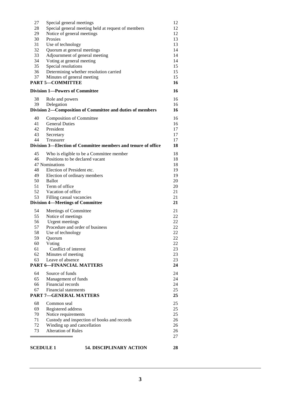| 27 | Special general meetings                                      | 12 |
|----|---------------------------------------------------------------|----|
| 28 | Special general meeting held at request of members            | 12 |
| 29 | Notice of general meetings                                    | 12 |
| 30 | Proxies                                                       | 13 |
| 31 | Use of technology                                             | 13 |
| 32 | Quorum at general meetings                                    | 14 |
| 33 | Adjournment of general meeting                                | 14 |
| 34 | Voting at general meeting                                     | 14 |
| 35 | Special resolutions                                           | 15 |
| 36 | Determining whether resolution carried                        | 15 |
| 37 | Minutes of general meeting                                    | 15 |
|    | <b>PART 5-COMMITTEE</b>                                       | 16 |
|    | <b>Division 1-Powers of Committee</b>                         | 16 |
| 38 | Role and powers                                               | 16 |
| 39 | Delegation                                                    | 16 |
|    | Division 2-Composition of Committee and duties of members     | 16 |
|    |                                                               |    |
| 40 | <b>Composition of Committee</b>                               | 16 |
| 41 | <b>General Duties</b>                                         | 16 |
| 42 | President                                                     | 17 |
| 43 | Secretary                                                     | 17 |
| 44 | Treasurer                                                     | 17 |
|    | Division 3—Election of Committee members and tenure of office | 18 |
| 45 | Who is eligible to be a Committee member                      | 18 |
| 46 | Positions to be declared vacant                               | 18 |
|    | 47 Nominations                                                | 18 |
| 48 | Election of President etc.                                    | 19 |
| 49 | Election of ordinary members                                  | 19 |
| 50 | <b>Ballot</b>                                                 | 20 |
| 51 | Term of office                                                | 20 |
| 52 | Vacation of office                                            | 21 |
| 53 | Filling casual vacancies                                      | 21 |
|    | <b>Division 4—Meetings of Committee</b>                       | 21 |
| 54 | Meetings of Committee                                         | 21 |
| 55 | Notice of meetings                                            | 22 |
| 56 | Urgent meetings                                               | 22 |
| 57 | Procedure and order of business                               | 22 |
| 58 | Use of technology                                             | 22 |
| 59 | Quorum                                                        | 22 |
| 60 | Voting                                                        | 22 |
| 61 | Conflict of interest                                          | 23 |
| 62 | Minutes of meeting                                            | 23 |
| 63 | Leave of absence                                              | 23 |
|    | <b>PART 6-FINANCIAL MATTERS</b>                               | 24 |
| 64 | Source of funds                                               | 24 |
| 65 | Management of funds                                           | 24 |
| 66 | Financial records                                             | 24 |
| 67 | <b>Financial statements</b>                                   | 25 |
|    | <b>PART 7-GENERAL MATTERS</b>                                 | 25 |
| 68 | Common seal                                                   | 25 |
| 69 | Registered address                                            | 25 |
| 70 | Notice requirements                                           | 25 |
| 71 | Custody and inspection of books and records                   | 26 |
| 72 | Winding up and cancellation                                   | 26 |
| 73 | <b>Alteration of Rules</b>                                    | 26 |
|    |                                                               | 27 |
|    |                                                               |    |
|    | 54. DISCIPLINARY ACTION<br><b>SCEDULE 1</b>                   | 28 |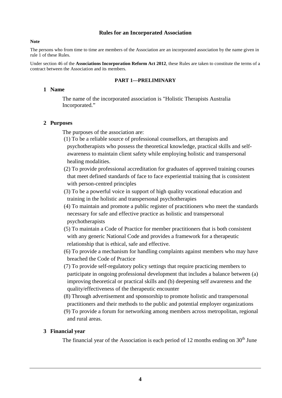#### **Rules for an Incorporated Association**

#### **Note**

The persons who from time to time are members of the Association are an incorporated association by the name given in rule 1 of these Rules.

Under section 46 of the **Associations Incorporation Reform Act 2012**, these Rules are taken to constitute the terms of a contract between the Association and its members.

# **PART 1—PRELIMINARY**

# **1 Name**

The name of the incorporated association is "Holistic Therapists Australia Incorporated."

# **2 Purposes**

The purposes of the association are:

- (1) To be a reliable source of professional counsellors, art therapists and psychotherapists who possess the theoretical knowledge, practical skills and selfawareness to maintain client safety while employing holistic and transpersonal healing modalities.
- (2) To provide professional accreditation for graduates of approved training courses that meet defined standards of face to face experiential training that is consistent with person-centred principles
- (3) To be a powerful voice in support of high quality vocational education and training in the holistic and transpersonal psychotherapies
- (4) To maintain and promote a public register of practitioners who meet the standards necessary for safe and effective practice as holistic and transpersonal psychotherapists
- (5) To maintain a Code of Practice for member practitioners that is both consistent with any generic National Code and provides a framework for a therapeutic relationship that is ethical, safe and effective.
- (6) To provide a mechanism for handling complaints against members who may have breached the Code of Practice
- (7) To provide self-regulatory policy settings that require practicing members to participate in ongoing professional development that includes a balance between (a) improving theoretical or practical skills and (b) deepening self awareness and the quality/effectiveness of the therapeutic encounter
- (8) Through advertisement and sponsorship to promote holistic and transpersonal practitioners and their methods to the public and potential employer organizations
- (9) To provide a forum for networking among members across metropolitan, regional and rural areas.

# **3 Financial year**

The financial year of the Association is each period of 12 months ending on  $30<sup>th</sup>$  June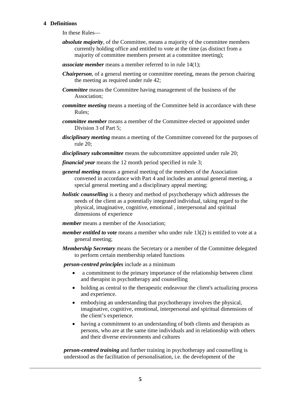# **4 Definitions**

In these Rules—

- *absolute majority*, of the Committee, means a majority of the committee members currently holding office and entitled to vote at the time (as distinct from a majority of committee members present at a committee meeting);
- *associate member* means a member referred to in rule 14(1);
- *Chairperson*, of a general meeting or committee meeting, means the person chairing the meeting as required under rule 42;
- *Committee* means the Committee having management of the business of the Association;
- *committee meeting* means a meeting of the Committee held in accordance with these Rules;
- *committee member* means a member of the Committee elected or appointed under Division 3 of Part 5;
- *disciplinary meeting* means a meeting of the Committee convened for the purposes of rule 20;
- *disciplinary subcommittee* means the subcommittee appointed under rule 20;

*financial year* means the 12 month period specified in rule 3;

- *general meeting* means a general meeting of the members of the Association convened in accordance with Part 4 and includes an annual general meeting, a special general meeting and a disciplinary appeal meeting;
- *holistic counselling* is a theory and method of psychotherapy which addresses the needs of the client as a potentially integrated individual, taking regard to the physical, imaginative, cognitive, emotional , interpersonal and spiritual dimensions of experience
- *member* means a member of the Association;
- *member entitled to vote* means a member who under rule 13(2) is entitled to vote at a general meeting;
- *Membership Secretary* means the Secretary or a member of the Committee delegated to perform certain membership related functions

*person-centred principles* include as a minimum

- a commitment to the primary importance of the relationship between client and therapist in psychotherapy and counselling
- holding as central to the therapeutic endeavour the client's actualizing process and experience.
- embodying an understanding that psychotherapy involves the physical, imaginative, cognitive, emotional, interpersonal and spiritual dimensions of the client's experience.
- having a commitment to an understanding of both clients and therapists as persons, who are at the same time individuals and in relationship with others and their diverse environments and cultures

*person-centred training* and further training in psychotherapy and counselling is understood as the facilitation of personalisation, i.e. the development of the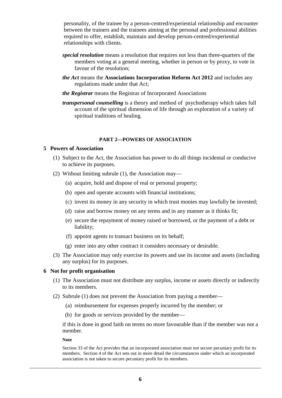personality, of the trainee by a person-centred/experiential relationship and encounter between the trainers and the trainees aiming at the personal and professional abilities required to offer, establish, maintain and develop person-centred/experiential relationships with clients.

- *special resolution* means a resolution that requires not less than three-quarters of the members voting at a general meeting, whether in person or by proxy, to vote in favour of the resolution;
- *the Act* means the **Associations Incorporation Reform Act 2012** and includes any regulations made under that Act;
- *the Registrar* means the Registrar of Incorporated Associations
- *transpersonal counselling* is a theory and method of psychotherapy which takes full account of the spiritual dimension of life through an exploration of a variety of spiritual traditions of healing.

#### **PART 2—POWERS OF ASSOCIATION**

#### **5 Powers of Association**

- (1) Subject to the Act, the Association has power to do all things incidental or conducive to achieve its purposes.
- (2) Without limiting subrule (1), the Association may—
	- (a) acquire, hold and dispose of real or personal property;
	- (b) open and operate accounts with financial institutions;
	- (c) invest its money in any security in which trust monies may lawfully be invested;
	- (d) raise and borrow money on any terms and in any manner as it thinks fit;
	- (e) secure the repayment of money raised or borrowed, or the payment of a debt or liability;
	- (f) appoint agents to transact business on its behalf;
	- (g) enter into any other contract it considers necessary or desirable.
- (3) The Association may only exercise its powers and use its income and assets (including any surplus) for its purposes.

#### **6 Not for profit organisation**

- (1) The Association must not distribute any surplus, income or assets directly or indirectly to its members.
- (2) Subrule (1) does not prevent the Association from paying a member—
	- (a) reimbursement for expenses properly incurred by the member; or
	- (b) for goods or services provided by the member—

if this is done in good faith on terms no more favourable than if the member was not a member.

**Note**

Section 33 of the Act provides that an incorporated association must not secure pecuniary profit for its members. Section 4 of the Act sets out in more detail the circumstances under which an incorporated association is not taken to secure pecuniary profit for its members.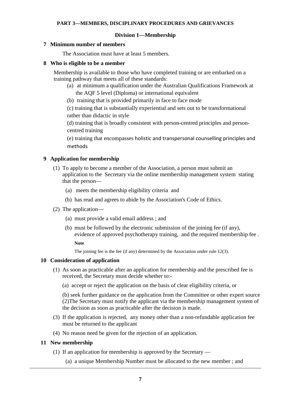#### **PART 3—MEMBERS, DISCIPLINARY PROCEDURES AND GRIEVANCES**

#### **Division 1—Membership**

#### **7 Minimum number of members**

The Association must have at least 5 members.

#### **8 Who is eligible to be a member**

Membership is available to those who have completed training or are embarked on a training pathway that meets all of these standards:

- (a) at minimum a qualification under the Australian Qualifications Framework at the AQF 5 level (Diploma) or international equivalent
- (b) training that is provided primarily in face to face mode

(c) training that is substantially experiential and sets out to be transformational rather than didactic in style

(d) training that is broadly consistent with person-centred principles and personcentred training

(e) training that encompasses holistic and transpersonal counselling principles and methods

#### **9 Application for membership**

- (1) To apply to become a member of the Association, a person must submit an application to the Secretary via the online membership management system stating that the person—
	- (a) meets the membership eligibility criteria and
	- (b) has read and agrees to abide by the Association's Code of Ethics.
- (2) The application—
	- (a) must provide a valid email address ; and
	- (b) must be followed by the electronic submission of the joining fee (if any), evidence of approved psychotherapy training, and the required membership fee .

**Note**

The joining fee is the fee (if any) determined by the Association under rule 12(3).

#### **10 Consideration of application**

- (1) As soon as practicable after an application for membership and the prescribed fee is received, the Secretary must decide whether to:-
	- (a) accept or reject the application on the basis of clear eligibility criteria, or

(b) seek further guidance on the application from the Committee or other expert source (2)The Secretary must notify the applicant via the membership management system of the decision as soon as practicable after the decision is made.

- (3) If the application is rejected, any money other than a non-refundable application fee must be returned to the applicant
- (4) No reason need be given for the rejection of an application.

#### **11 New membership**

- (1) If an application for membership is approved by the Secretary
	- (a) a unique Membership Number must be allocated to the new member ; and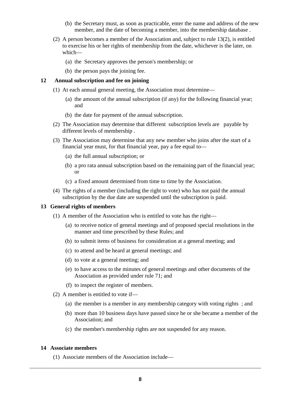- (b) the Secretary must, as soon as practicable, enter the name and address of the new member, and the date of becoming a member, into the membership database .
- (2) A person becomes a member of the Association and, subject to rule 13(2), is entitled to exercise his or her rights of membership from the date, whichever is the later, on which—
	- (a) the Secretary approves the person's membership; or
	- (b) the person pays the joining fee.

# **12 Annual subscription and fee on joining**

- (1) At each annual general meeting, the Association must determine—
	- (a) the amount of the annual subscription (if any) for the following financial year; and
	- (b) the date for payment of the annual subscription.
- (2) The Association may determine that different subscription levels are payable by different levels of membership .
- (3) The Association may determine that any new member who joins after the start of a financial year must, for that financial year, pay a fee equal to—
	- (a) the full annual subscription; or
	- (b) a pro rata annual subscription based on the remaining part of the financial year; or
	- (c) a fixed amount determined from time to time by the Association.
- (4) The rights of a member (including the right to vote) who has not paid the annual subscription by the due date are suspended until the subscription is paid.

#### **13 General rights of members**

- (1) A member of the Association who is entitled to vote has the right—
	- (a) to receive notice of general meetings and of proposed special resolutions in the manner and time prescribed by these Rules; and
	- (b) to submit items of business for consideration at a general meeting; and
	- (c) to attend and be heard at general meetings; and
	- (d) to vote at a general meeting; and
	- (e) to have access to the minutes of general meetings and other documents of the Association as provided under rule 71; and
	- (f) to inspect the register of members.
- (2) A member is entitled to vote if—
	- (a) the member is a member in any membership category with voting rights ; and
	- (b) more than 10 business days have passed since he or she became a member of the Association; and
	- (c) the member's membership rights are not suspended for any reason.

#### **14 Associate members**

(1) Associate members of the Association include—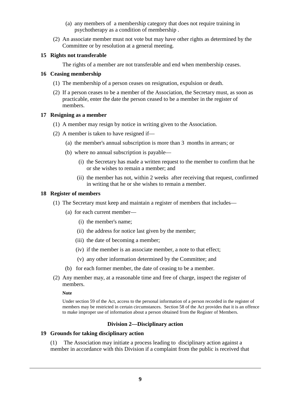- (a) any members of a membership category that does not require training in psychotherapy as a condition of membership .
- (2) An associate member must not vote but may have other rights as determined by the Committee or by resolution at a general meeting.

# **15 Rights not transferable**

The rights of a member are not transferable and end when membership ceases.

## **16 Ceasing membership**

- (1) The membership of a person ceases on resignation, expulsion or death.
- (2) If a person ceases to be a member of the Association, the Secretary must, as soon as practicable, enter the date the person ceased to be a member in the register of members.

# **17 Resigning as a member**

- (1) A member may resign by notice in writing given to the Association.
- (2) A member is taken to have resigned if—
	- (a) the member's annual subscription is more than 3 months in arrears; or
	- (b) where no annual subscription is payable—
		- (i) the Secretary has made a written request to the member to confirm that he or she wishes to remain a member; and
		- (ii) the member has not, within 2 weeks after receiving that request, confirmed in writing that he or she wishes to remain a member.

# **18 Register of members**

- (1) The Secretary must keep and maintain a register of members that includes—
	- (a) for each current member—
		- (i) the member's name;
		- (ii) the address for notice last given by the member;
		- (iii) the date of becoming a member;
		- (iv) if the member is an associate member, a note to that effect;
		- (v) any other information determined by the Committee; and
	- (b) for each former member, the date of ceasing to be a member.
- (2) Any member may, at a reasonable time and free of charge, inspect the register of members.

#### **Note**

Under section 59 of the Act, access to the personal information of a person recorded in the register of members may be restricted in certain circumstances. Section 58 of the Act provides that it is an offence to make improper use of information about a person obtained from the Register of Members.

# **Division 2—Disciplinary action**

# **19 Grounds for taking disciplinary action**

(1) The Association may initiate a process leading to disciplinary action against a member in accordance with this Division if a complaint from the public is received that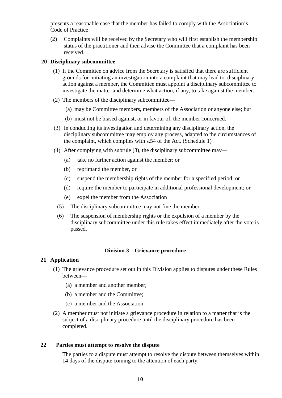presents a reasonable case that the member has failed to comply with the Association's Code of Practice

(2) Complaints will be received by the Secretary who will first establish the membership status of the practitioner and then advise the Committee that a complaint has been received.

## **20 Disciplinary subcommittee**

- (1) If the Committee on advice from the Secretary is satisfied that there are sufficient grounds for initiating an investigation into a complaint that may lead to disciplinary action against a member, the Committee must appoint a disciplinary subcommittee to investigate the matter and determine what action, if any, to take against the member.
- (2) The members of the disciplinary subcommittee—
	- (a) may be Committee members, members of the Association or anyone else; but
	- (b) must not be biased against, or in favour of, the member concerned.
- (3) In conducting its investigation and determining any disciplinary action, the disciplinary subcommittee may employ any process, adapted to the circumstances of the complaint, which complies with s.54 of the Act. (Schedule 1)
- (4) After complying with subrule (3), the disciplinary subcommittee may—
	- (a) take no further action against the member; or
	- (b) reprimand the member, or
	- (c) suspend the membership rights of the member for a specified period; or
	- (d) require the member to participate in additional professional development; or
	- (e) expel the member from the Association
	- (5) The disciplinary subcommittee may not fine the member.
	- (6) The suspension of membership rights or the expulsion of a member by the disciplinary subcommittee under this rule takes effect immediately after the vote is passed.

# **Division 3—Grievance procedure**

#### **21 Application**

- (1) The grievance procedure set out in this Division applies to disputes under these Rules between—
	- (a) a member and another member;
	- (b) a member and the Committee;
	- (c) a member and the Association.
- (2) A member must not initiate a grievance procedure in relation to a matter that is the subject of a disciplinary procedure until the disciplinary procedure has been completed.

# **22 Parties must attempt to resolve the dispute**

The parties to a dispute must attempt to resolve the dispute between themselves within 14 days of the dispute coming to the attention of each party.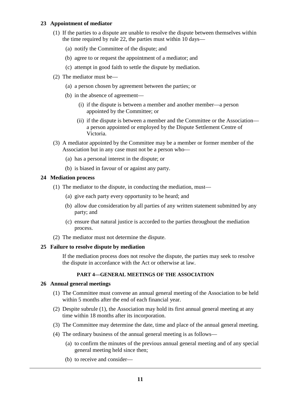# **23 Appointment of mediator**

- (1) If the parties to a dispute are unable to resolve the dispute between themselves within the time required by rule 22, the parties must within 10 days—
	- (a) notify the Committee of the dispute; and
	- (b) agree to or request the appointment of a mediator; and
	- (c) attempt in good faith to settle the dispute by mediation.
- (2) The mediator must be—
	- (a) a person chosen by agreement between the parties; or
	- (b) in the absence of agreement—
		- (i) if the dispute is between a member and another member—a person appointed by the Committee; or
		- (ii) if the dispute is between a member and the Committee or the Association a person appointed or employed by the Dispute Settlement Centre of Victoria.
- (3) A mediator appointed by the Committee may be a member or former member of the Association but in any case must not be a person who—
	- (a) has a personal interest in the dispute; or
	- (b) is biased in favour of or against any party.

# **24 Mediation process**

- (1) The mediator to the dispute, in conducting the mediation, must—
	- (a) give each party every opportunity to be heard; and
	- (b) allow due consideration by all parties of any written statement submitted by any party; and
	- (c) ensure that natural justice is accorded to the parties throughout the mediation process.
- (2) The mediator must not determine the dispute.

#### **25 Failure to resolve dispute by mediation**

If the mediation process does not resolve the dispute, the parties may seek to resolve the dispute in accordance with the Act or otherwise at law.

# **PART 4—GENERAL MEETINGS OF THE ASSOCIATION**

#### **26 Annual general meetings**

- (1) The Committee must convene an annual general meeting of the Association to be held within 5 months after the end of each financial year.
- (2) Despite subrule (1), the Association may hold its first annual general meeting at any time within 18 months after its incorporation.
- (3) The Committee may determine the date, time and place of the annual general meeting.
- (4) The ordinary business of the annual general meeting is as follows—
	- (a) to confirm the minutes of the previous annual general meeting and of any special general meeting held since then;
	- (b) to receive and consider—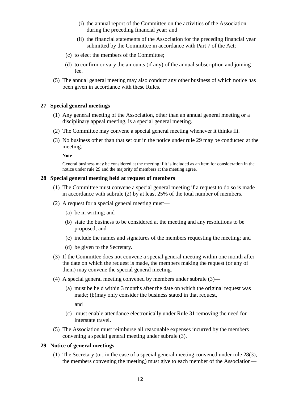- (i) the annual report of the Committee on the activities of the Association during the preceding financial year; and
- (ii) the financial statements of the Association for the preceding financial year submitted by the Committee in accordance with Part 7 of the Act;
- (c) to elect the members of the Committee;
- (d) to confirm or vary the amounts (if any) of the annual subscription and joining fee.
- (5) The annual general meeting may also conduct any other business of which notice has been given in accordance with these Rules.

#### **27 Special general meetings**

- (1) Any general meeting of the Association, other than an annual general meeting or a disciplinary appeal meeting, is a special general meeting.
- (2) The Committee may convene a special general meeting whenever it thinks fit.
- (3) No business other than that set out in the notice under rule 29 may be conducted at the meeting.

**Note**

General business may be considered at the meeting if it is included as an item for consideration in the notice under rule 29 and the majority of members at the meeting agree.

#### **28 Special general meeting held at request of members**

- (1) The Committee must convene a special general meeting if a request to do so is made in accordance with subrule (2) by at least 25% of the total number of members.
- (2) A request for a special general meeting must—
	- (a) be in writing; and
	- (b) state the business to be considered at the meeting and any resolutions to be proposed; and
	- (c) include the names and signatures of the members requesting the meeting; and
	- (d) be given to the Secretary.
- (3) If the Committee does not convene a special general meeting within one month after the date on which the request is made, the members making the request (or any of them) may convene the special general meeting.
- (4) A special general meeting convened by members under subrule (3)—
	- (a) must be held within 3 months after the date on which the original request was made; (b)may only consider the business stated in that request,

and

- (c) must enable attendance electronically under Rule 31 removing the need for interstate travel.
- (5) The Association must reimburse all reasonable expenses incurred by the members convening a special general meeting under subrule (3).

# **29 Notice of general meetings**

(1) The Secretary (or, in the case of a special general meeting convened under rule 28(3), the members convening the meeting) must give to each member of the Association—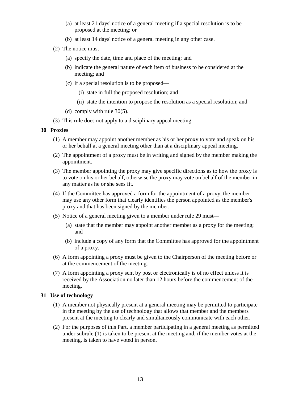- (a) at least 21 days' notice of a general meeting if a special resolution is to be proposed at the meeting; or
- (b) at least 14 days' notice of a general meeting in any other case.
- (2) The notice must—
	- (a) specify the date, time and place of the meeting; and
	- (b) indicate the general nature of each item of business to be considered at the meeting; and
	- (c) if a special resolution is to be proposed—
		- (i) state in full the proposed resolution; and
		- (ii) state the intention to propose the resolution as a special resolution; and
	- (d) comply with rule 30(5).
- (3) This rule does not apply to a disciplinary appeal meeting.

#### **30 Proxies**

- (1) A member may appoint another member as his or her proxy to vote and speak on his or her behalf at a general meeting other than at a disciplinary appeal meeting.
- (2) The appointment of a proxy must be in writing and signed by the member making the appointment.
- (3) The member appointing the proxy may give specific directions as to how the proxy is to vote on his or her behalf, otherwise the proxy may vote on behalf of the member in any matter as he or she sees fit.
- (4) If the Committee has approved a form for the appointment of a proxy, the member may use any other form that clearly identifies the person appointed as the member's proxy and that has been signed by the member.
- (5) Notice of a general meeting given to a member under rule 29 must—
	- (a) state that the member may appoint another member as a proxy for the meeting; and
	- (b) include a copy of any form that the Committee has approved for the appointment of a proxy.
- (6) A form appointing a proxy must be given to the Chairperson of the meeting before or at the commencement of the meeting.
- (7) A form appointing a proxy sent by post or electronically is of no effect unless it is received by the Association no later than 12 hours before the commencement of the meeting.

# **31 Use of technology**

- (1) A member not physically present at a general meeting may be permitted to participate in the meeting by the use of technology that allows that member and the members present at the meeting to clearly and simultaneously communicate with each other.
- (2) For the purposes of this Part, a member participating in a general meeting as permitted under subrule (1) is taken to be present at the meeting and, if the member votes at the meeting, is taken to have voted in person.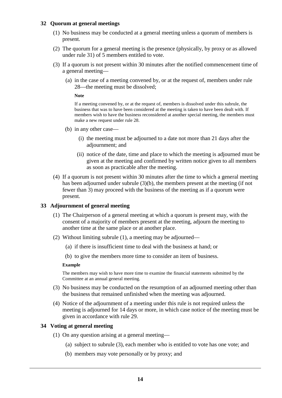## **32 Quorum at general meetings**

- (1) No business may be conducted at a general meeting unless a quorum of members is present.
- (2) The quorum for a general meeting is the presence (physically, by proxy or as allowed under rule 31) of 5 members entitled to vote.
- (3) If a quorum is not present within 30 minutes after the notified commencement time of a general meeting—
	- (a) in the case of a meeting convened by, or at the request of, members under rule 28—the meeting must be dissolved;

**Note**

If a meeting convened by, or at the request of, members is dissolved under this subrule, the business that was to have been considered at the meeting is taken to have been dealt with. If members wish to have the business reconsidered at another special meeting, the members must make a new request under rule 28.

- (b) in any other case—
	- (i) the meeting must be adjourned to a date not more than 21 days after the adjournment; and
	- (ii) notice of the date, time and place to which the meeting is adjourned must be given at the meeting and confirmed by written notice given to all members as soon as practicable after the meeting.
- (4) If a quorum is not present within 30 minutes after the time to which a general meeting has been adjourned under subrule (3)(b), the members present at the meeting (if not fewer than 3) may proceed with the business of the meeting as if a quorum were present.

#### **33 Adjournment of general meeting**

- (1) The Chairperson of a general meeting at which a quorum is present may, with the consent of a majority of members present at the meeting, adjourn the meeting to another time at the same place or at another place.
- (2) Without limiting subrule (1), a meeting may be adjourned—
	- (a) if there is insufficient time to deal with the business at hand; or

(b) to give the members more time to consider an item of business.

#### **Example**

The members may wish to have more time to examine the financial statements submitted by the Committee at an annual general meeting.

- (3) No business may be conducted on the resumption of an adjourned meeting other than the business that remained unfinished when the meeting was adjourned.
- (4) Notice of the adjournment of a meeting under this rule is not required unless the meeting is adjourned for 14 days or more, in which case notice of the meeting must be given in accordance with rule 29.

# **34 Voting at general meeting**

- (1) On any question arising at a general meeting—
	- (a) subject to subrule (3), each member who is entitled to vote has one vote; and
	- (b) members may vote personally or by proxy; and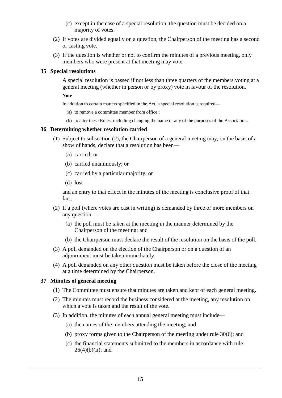- (c) except in the case of a special resolution, the question must be decided on a majority of votes.
- (2) If votes are divided equally on a question, the Chairperson of the meeting has a second or casting vote.
- (3) If the question is whether or not to confirm the minutes of a previous meeting, only members who were present at that meeting may vote.

## **35 Special resolutions**

A special resolution is passed if not less than three quarters of the members voting at a general meeting (whether in person or by proxy) vote in favour of the resolution.

**Note**

In addition to certain matters specified in the Act, a special resolution is required—

- (a) to remove a committee member from office ;
- (b) to alter these Rules, including changing the name or any of the purposes of the Association.

#### **36 Determining whether resolution carried**

- (1) Subject to subsection (2), the Chairperson of a general meeting may, on the basis of a show of hands, declare that a resolution has been—
	- (a) carried; or
	- (b) carried unanimously; or
	- (c) carried by a particular majority; or
	- (d) lost—

and an entry to that effect in the minutes of the meeting is conclusive proof of that fact.

- (2) If a poll (where votes are cast in writing) is demanded by three or more members on any question—
	- (a) the poll must be taken at the meeting in the manner determined by the Chairperson of the meeting; and
	- (b) the Chairperson must declare the result of the resolution on the basis of the poll.
- (3) A poll demanded on the election of the Chairperson or on a question of an adjournment must be taken immediately.
- (4) A poll demanded on any other question must be taken before the close of the meeting at a time determined by the Chairperson.

#### **37 Minutes of general meeting**

- (1) The Committee must ensure that minutes are taken and kept of each general meeting.
- (2) The minutes must record the business considered at the meeting, any resolution on which a vote is taken and the result of the vote.
- (3) In addition, the minutes of each annual general meeting must include—
	- (a) the names of the members attending the meeting; and
	- (b) proxy forms given to the Chairperson of the meeting under rule 30(6); and
	- (c) the financial statements submitted to the members in accordance with rule  $26(4)(b)(ii)$ ; and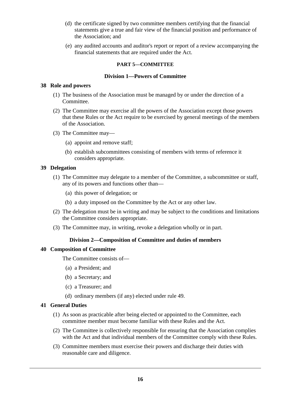- (d) the certificate signed by two committee members certifying that the financial statements give a true and fair view of the financial position and performance of the Association; and
- (e) any audited accounts and auditor's report or report of a review accompanying the financial statements that are required under the Act.

## **PART 5—COMMITTEE**

# **Division 1—Powers of Committee**

#### **38 Role and powers**

- (1) The business of the Association must be managed by or under the direction of a Committee.
- (2) The Committee may exercise all the powers of the Association except those powers that these Rules or the Act require to be exercised by general meetings of the members of the Association.
- (3) The Committee may—
	- (a) appoint and remove staff;
	- (b) establish subcommittees consisting of members with terms of reference it considers appropriate.

# **39 Delegation**

- (1) The Committee may delegate to a member of the Committee, a subcommittee or staff, any of its powers and functions other than—
	- (a) this power of delegation; or
	- (b) a duty imposed on the Committee by the Act or any other law.
- (2) The delegation must be in writing and may be subject to the conditions and limitations the Committee considers appropriate.
- (3) The Committee may, in writing, revoke a delegation wholly or in part.

#### **Division 2—Composition of Committee and duties of members**

#### **40 Composition of Committee**

The Committee consists of—

- (a) a President; and
- (b) a Secretary; and
- (c) a Treasurer; and
- (d) ordinary members (if any) elected under rule 49.

#### **41 General Duties**

- (1) As soon as practicable after being elected or appointed to the Committee, each committee member must become familiar with these Rules and the Act.
- (2) The Committee is collectively responsible for ensuring that the Association complies with the Act and that individual members of the Committee comply with these Rules.
- (3) Committee members must exercise their powers and discharge their duties with reasonable care and diligence.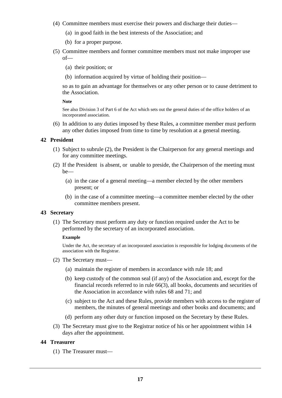- (4) Committee members must exercise their powers and discharge their duties—
	- (a) in good faith in the best interests of the Association; and
	- (b) for a proper purpose.
- (5) Committee members and former committee members must not make improper use of—
	- (a) their position; or
	- (b) information acquired by virtue of holding their position—

so as to gain an advantage for themselves or any other person or to cause detriment to the Association.

#### **Note**

See also Division 3 of Part 6 of the Act which sets out the general duties of the office holders of an incorporated association.

(6) In addition to any duties imposed by these Rules, a committee member must perform any other duties imposed from time to time by resolution at a general meeting.

# **42 President**

- (1) Subject to subrule (2), the President is the Chairperson for any general meetings and for any committee meetings.
- (2) If the President is absent, or unable to preside, the Chairperson of the meeting must be—
	- (a) in the case of a general meeting—a member elected by the other members present; or
	- (b) in the case of a committee meeting—a committee member elected by the other committee members present.

#### **43 Secretary**

(1) The Secretary must perform any duty or function required under the Act to be performed by the secretary of an incorporated association.

#### **Example**

Under the Act, the secretary of an incorporated association is responsible for lodging documents of the association with the Registrar.

- (2) The Secretary must—
	- (a) maintain the register of members in accordance with rule 18; and
	- (b) keep custody of the common seal (if any) of the Association and, except for the financial records referred to in rule 66(3), all books, documents and securities of the Association in accordance with rules 68 and 71; and
	- (c) subject to the Act and these Rules, provide members with access to the register of members, the minutes of general meetings and other books and documents; and
	- (d) perform any other duty or function imposed on the Secretary by these Rules.
- (3) The Secretary must give to the Registrar notice of his or her appointment within 14 days after the appointment.

#### **44 Treasurer**

(1) The Treasurer must—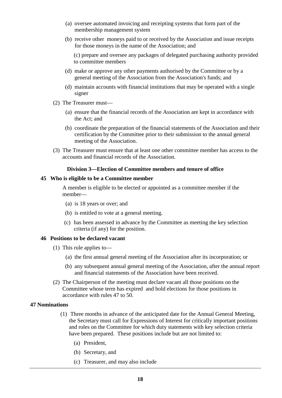- (a) oversee automated invoicing and receipting systems that form part of the membership management system
- (b) receive other moneys paid to or received by the Association and issue receipts for those moneys in the name of the Association; and

(c) prepare and oversee any packages of delegated purchasing authority provided to committee members

- (d) make or approve any other payments authorised by the Committee or by a general meeting of the Association from the Association's funds; and
- (d) maintain accounts with financial institutions that may be operated with a single signer
- (2) The Treasurer must—
	- (a) ensure that the financial records of the Association are kept in accordance with the Act; and
	- (b) coordinate the preparation of the financial statements of the Association and their certification by the Committee prior to their submission to the annual general meeting of the Association.
- (3) The Treasurer must ensure that at least one other committee member has access to the accounts and financial records of the Association.

#### **Division 3—Election of Committee members and tenure of office**

#### **45 Who is eligible to be a Committee member**

A member is eligible to be elected or appointed as a committee member if the member—

- (a) is 18 years or over; and
- (b) is entitled to vote at a general meeting.
- (c) has been assessed in advance by the Committee as meeting the key selection criteria (if any) for the position.

#### **46 Positions to be declared vacant**

- (1) This rule applies to—
	- (a) the first annual general meeting of the Association after its incorporation; or
	- (b) any subsequent annual general meeting of the Association, after the annual report and financial statements of the Association have been received.
- (2) The Chairperson of the meeting must declare vacant all those positions on the Committee whose term has expired and hold elections for those positions in accordance with rules 47 to 50.

#### **47 Nominations**

- (1) Three months in advance of the anticipated date for the Annual General Meeting, the Secretary must call for Expressions of Interest for critically important positions and roles on the Committee for which duty statements with key selection criteria have been prepared. These positions include but are not limited to:
	- (a) President,
	- (b) Secretary, and
	- (c) Treasurer, and may also include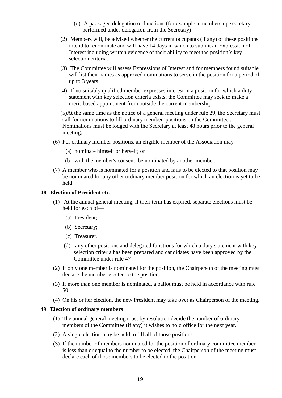- (d) A packaged delegation of functions (for example a membership secretary performed under delegation from the Secretary)
- (2) Members will, be advised whether the current occupants (if any) of these positions intend to renominate and will have 14 days in which to submit an Expression of Interest including written evidence of their ability to meet the position's key selection criteria.
- (3) The Committee will assess Expressions of Interest and for members found suitable will list their names as approved nominations to serve in the position for a period of up to 3 years.
- (4) If no suitably qualified member expresses interest in a position for which a duty statement with key selection criteria exists, the Committee may seek to make a merit-based appointment from outside the current membership.

(5)At the same time as the notice of a general meeting under rule 29, the Secretary must call for nominations to fill ordinary member positions on the Committee . Nominations must be lodged with the Secretary at least 48 hours prior to the general meeting.

- (6) For ordinary member positions, an eligible member of the Association may—
	- (a) nominate himself or herself; or
	- (b) with the member's consent, be nominated by another member.
- (7) A member who is nominated for a position and fails to be elected to that position may be nominated for any other ordinary member position for which an election is yet to be held.

#### **48 Election of President etc.**

- (1) At the annual general meeting, if their term has expired, separate elections must be held for each of—
	- (a) President;
	- (b) Secretary;
	- (c) Treasurer.
	- (d) any other positions and delegated functions for which a duty statement with key selection criteria has been prepared and candidates have been approved by the Committee under rule 47
- (2) If only one member is nominated for the position, the Chairperson of the meeting must declare the member elected to the position.
- (3) If more than one member is nominated, a ballot must be held in accordance with rule 50.
- (4) On his or her election, the new President may take over as Chairperson of the meeting.

#### **49 Election of ordinary members**

- (1) The annual general meeting must by resolution decide the number of ordinary members of the Committee (if any) it wishes to hold office for the next year.
- (2) A single election may be held to fill all of those positions.
- (3) If the number of members nominated for the position of ordinary committee member is less than or equal to the number to be elected, the Chairperson of the meeting must declare each of those members to be elected to the position.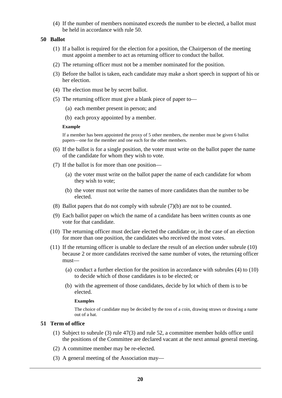(4) If the number of members nominated exceeds the number to be elected, a ballot must be held in accordance with rule 50.

#### **50 Ballot**

- (1) If a ballot is required for the election for a position, the Chairperson of the meeting must appoint a member to act as returning officer to conduct the ballot.
- (2) The returning officer must not be a member nominated for the position.
- (3) Before the ballot is taken, each candidate may make a short speech in support of his or her election.
- (4) The election must be by secret ballot.
- (5) The returning officer must give a blank piece of paper to—
	- (a) each member present in person; and
	- (b) each proxy appointed by a member.

#### **Example**

If a member has been appointed the proxy of 5 other members, the member must be given 6 ballot papers—one for the member and one each for the other members.

- (6) If the ballot is for a single position, the voter must write on the ballot paper the name of the candidate for whom they wish to vote.
- (7) If the ballot is for more than one position—
	- (a) the voter must write on the ballot paper the name of each candidate for whom they wish to vote;
	- (b) the voter must not write the names of more candidates than the number to be elected.
- (8) Ballot papers that do not comply with subrule (7)(b) are not to be counted.
- (9) Each ballot paper on which the name of a candidate has been written counts as one vote for that candidate.
- (10) The returning officer must declare elected the candidate or, in the case of an election for more than one position, the candidates who received the most votes.
- (11) If the returning officer is unable to declare the result of an election under subrule (10) because 2 or more candidates received the same number of votes, the returning officer must—
	- (a) conduct a further election for the position in accordance with subrules (4) to (10) to decide which of those candidates is to be elected; or
	- (b) with the agreement of those candidates, decide by lot which of them is to be elected.

#### **Examples**

The choice of candidate may be decided by the toss of a coin, drawing straws or drawing a name out of a hat.

# **51 Term of office**

- (1) Subject to subrule (3) rule 47(3) and rule 52, a committee member holds office until the positions of the Committee are declared vacant at the next annual general meeting.
- (2) A committee member may be re-elected.
- (3) A general meeting of the Association may—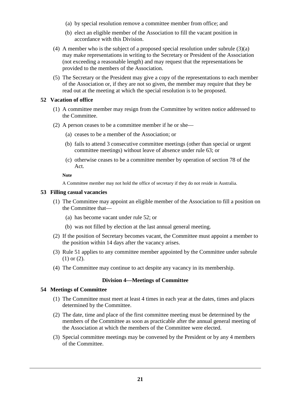- (a) by special resolution remove a committee member from office; and
- (b) elect an eligible member of the Association to fill the vacant position in accordance with this Division.
- (4) A member who is the subject of a proposed special resolution under subrule (3)(a) may make representations in writing to the Secretary or President of the Association (not exceeding a reasonable length) and may request that the representations be provided to the members of the Association.
- (5) The Secretary or the President may give a copy of the representations to each member of the Association or, if they are not so given, the member may require that they be read out at the meeting at which the special resolution is to be proposed.

## **52 Vacation of office**

- (1) A committee member may resign from the Committee by written notice addressed to the Committee.
- (2) A person ceases to be a committee member if he or she—
	- (a) ceases to be a member of the Association; or
	- (b) fails to attend 3 consecutive committee meetings (other than special or urgent committee meetings) without leave of absence under rule 63; or
	- (c) otherwise ceases to be a committee member by operation of section 78 of the Act.

#### **Note**

A Committee member may not hold the office of secretary if they do not reside in Australia.

#### **53 Filling casual vacancies**

- (1) The Committee may appoint an eligible member of the Association to fill a position on the Committee that—
	- (a) has become vacant under rule 52; or
	- (b) was not filled by election at the last annual general meeting.
- (2) If the position of Secretary becomes vacant, the Committee must appoint a member to the position within 14 days after the vacancy arises.
- (3) Rule 51 applies to any committee member appointed by the Committee under subrule (1) or (2).
- (4) The Committee may continue to act despite any vacancy in its membership.

#### **Division 4—Meetings of Committee**

#### **54 Meetings of Committee**

- (1) The Committee must meet at least 4 times in each year at the dates, times and places determined by the Committee.
- (2) The date, time and place of the first committee meeting must be determined by the members of the Committee as soon as practicable after the annual general meeting of the Association at which the members of the Committee were elected.
- (3) Special committee meetings may be convened by the President or by any 4 members of the Committee.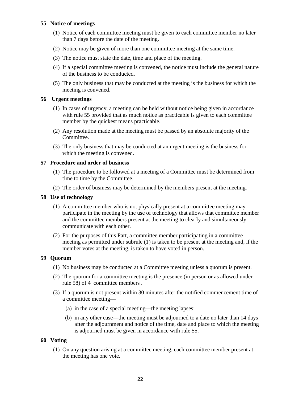# **55 Notice of meetings**

- (1) Notice of each committee meeting must be given to each committee member no later than 7 days before the date of the meeting.
- (2) Notice may be given of more than one committee meeting at the same time.
- (3) The notice must state the date, time and place of the meeting.
- (4) If a special committee meeting is convened, the notice must include the general nature of the business to be conducted.
- (5) The only business that may be conducted at the meeting is the business for which the meeting is convened.

# **56 Urgent meetings**

- (1) In cases of urgency, a meeting can be held without notice being given in accordance with rule 55 provided that as much notice as practicable is given to each committee member by the quickest means practicable.
- (2) Any resolution made at the meeting must be passed by an absolute majority of the Committee.
- (3) The only business that may be conducted at an urgent meeting is the business for which the meeting is convened.

# **57 Procedure and order of business**

- (1) The procedure to be followed at a meeting of a Committee must be determined from time to time by the Committee.
- (2) The order of business may be determined by the members present at the meeting.

# **58 Use of technology**

- (1) A committee member who is not physically present at a committee meeting may participate in the meeting by the use of technology that allows that committee member and the committee members present at the meeting to clearly and simultaneously communicate with each other.
- (2) For the purposes of this Part, a committee member participating in a committee meeting as permitted under subrule (1) is taken to be present at the meeting and, if the member votes at the meeting, is taken to have voted in person.

# **59 Quorum**

- (1) No business may be conducted at a Committee meeting unless a quorum is present.
- (2) The quorum for a committee meeting is the presence (in person or as allowed under rule 58) of 4 committee members .
- (3) If a quorum is not present within 30 minutes after the notified commencement time of a committee meeting—
	- (a) in the case of a special meeting—the meeting lapses;
	- (b) in any other case—the meeting must be adjourned to a date no later than 14 days after the adjournment and notice of the time, date and place to which the meeting is adjourned must be given in accordance with rule 55.

#### **60 Voting**

(1) On any question arising at a committee meeting, each committee member present at the meeting has one vote.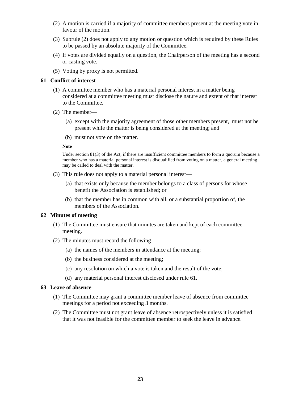- (2) A motion is carried if a majority of committee members present at the meeting vote in favour of the motion.
- (3) Subrule (2) does not apply to any motion or question which is required by these Rules to be passed by an absolute majority of the Committee.
- (4) If votes are divided equally on a question, the Chairperson of the meeting has a second or casting vote.
- (5) Voting by proxy is not permitted.

# **61 Conflict of interest**

- (1) A committee member who has a material personal interest in a matter being considered at a committee meeting must disclose the nature and extent of that interest to the Committee.
- (2) The member—
	- (a) except with the majority agreement of those other members present, must not be present while the matter is being considered at the meeting; and
	- (b) must not vote on the matter.

#### **Note**

Under section 81(3) of the Act, if there are insufficient committee members to form a quorum because a member who has a material personal interest is disqualified from voting on a matter, a general meeting may be called to deal with the matter.

- (3) This rule does not apply to a material personal interest—
	- (a) that exists only because the member belongs to a class of persons for whose benefit the Association is established; or
	- (b) that the member has in common with all, or a substantial proportion of, the members of the Association.

## **62 Minutes of meeting**

- (1) The Committee must ensure that minutes are taken and kept of each committee meeting.
- (2) The minutes must record the following—
	- (a) the names of the members in attendance at the meeting;
	- (b) the business considered at the meeting;
	- (c) any resolution on which a vote is taken and the result of the vote;
	- (d) any material personal interest disclosed under rule 61.

#### **63 Leave of absence**

- (1) The Committee may grant a committee member leave of absence from committee meetings for a period not exceeding 3 months.
- (2) The Committee must not grant leave of absence retrospectively unless it is satisfied that it was not feasible for the committee member to seek the leave in advance.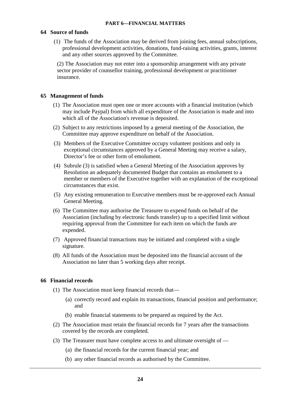#### **64 Source of funds**

(1) The funds of the Association may be derived from joining fees, annual subscriptions, professional development activities, donations, fund-raising activities, grants, interest and any other sources approved by the Committee.

(2) The Association may not enter into a sponsorship arrangement with any private sector provider of counsellor training, professional development or practitioner insurance.

#### **65 Management of funds**

- (1) The Association must open one or more accounts with a financial institution (which may include Paypal) from which all expenditure of the Association is made and into which all of the Association's revenue is deposited.
- (2) Subject to any restrictions imposed by a general meeting of the Association, the Committee may approve expenditure on behalf of the Association.
- (3) Members of the Executive Committee occupy volunteer positions and only in exceptional circumstances approved by a General Meeting may receive a salary, Director's fee or other form of emolument.
- (4) Subrule (3) is satisfied when a General Meeting of the Association approves by Resolution an adequately documented Budget that contains an emolument to a member or members of the Executive together with an explanation of the exceptional circumstances that exist.
- (5) Any existing remuneration to Executive members must be re-approved each Annual General Meeting.
- (6) The Committee may authorise the Treasurer to expend funds on behalf of the Association (including by electronic funds transfer) up to a specified limit without requiring approval from the Committee for each item on which the funds are expended.
- (7) Approved financial transactions may be initiated and completed with a single signature.
- (8) All funds of the Association must be deposited into the financial account of the Association no later than 5 working days after receipt.

#### **66 Financial records**

- (1) The Association must keep financial records that—
	- (a) correctly record and explain its transactions, financial position and performance; and
	- (b) enable financial statements to be prepared as required by the Act.
- (2) The Association must retain the financial records for 7 years after the transactions covered by the records are completed.
- (3) The Treasurer must have complete access to and ultimate oversight of
	- (a) the financial records for the current financial year; and
	- (b) any other financial records as authorised by the Committee.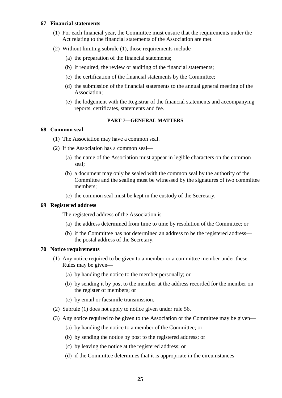#### **67 Financial statements**

- (1) For each financial year, the Committee must ensure that the requirements under the Act relating to the financial statements of the Association are met.
- (2) Without limiting subrule (1), those requirements include—
	- (a) the preparation of the financial statements;
	- (b) if required, the review or auditing of the financial statements;
	- (c) the certification of the financial statements by the Committee;
	- (d) the submission of the financial statements to the annual general meeting of the Association;
	- (e) the lodgement with the Registrar of the financial statements and accompanying reports, certificates, statements and fee.

# **PART 7—GENERAL MATTERS**

# **68 Common seal**

- (1) The Association may have a common seal.
- (2) If the Association has a common seal—
	- (a) the name of the Association must appear in legible characters on the common seal;
	- (b) a document may only be sealed with the common seal by the authority of the Committee and the sealing must be witnessed by the signatures of two committee members;
	- (c) the common seal must be kept in the custody of the Secretary.

# **69 Registered address**

The registered address of the Association is—

- (a) the address determined from time to time by resolution of the Committee; or
- (b) if the Committee has not determined an address to be the registered address the postal address of the Secretary.

#### **70 Notice requirements**

- (1) Any notice required to be given to a member or a committee member under these Rules may be given—
	- (a) by handing the notice to the member personally; or
	- (b) by sending it by post to the member at the address recorded for the member on the register of members; or
	- (c) by email or facsimile transmission.
- (2) Subrule (1) does not apply to notice given under rule 56.
- (3) Any notice required to be given to the Association or the Committee may be given—
	- (a) by handing the notice to a member of the Committee; or
	- (b) by sending the notice by post to the registered address; or
	- (c) by leaving the notice at the registered address; or
	- (d) if the Committee determines that it is appropriate in the circumstances—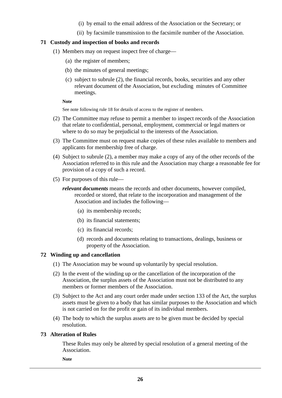- (i) by email to the email address of the Association or the Secretary; or
- (ii) by facsimile transmission to the facsimile number of the Association.

# **71 Custody and inspection of books and records**

- (1) Members may on request inspect free of charge—
	- (a) the register of members;
	- (b) the minutes of general meetings;
	- (c) subject to subrule (2), the financial records, books, securities and any other relevant document of the Association, but excluding minutes of Committee meetings.

#### **Note**

See note following rule 18 for details of access to the register of members.

- (2) The Committee may refuse to permit a member to inspect records of the Association that relate to confidential, personal, employment, commercial or legal matters or where to do so may be prejudicial to the interests of the Association.
- (3) The Committee must on request make copies of these rules available to members and applicants for membership free of charge.
- (4) Subject to subrule (2), a member may make a copy of any of the other records of the Association referred to in this rule and the Association may charge a reasonable fee for provision of a copy of such a record.
- (5) For purposes of this rule
	- *relevant documents* means the records and other documents, however compiled, recorded or stored, that relate to the incorporation and management of the Association and includes the following—
		- (a) its membership records;
		- (b) its financial statements;
		- (c) its financial records;
		- (d) records and documents relating to transactions, dealings, business or property of the Association.

# **72 Winding up and cancellation**

- (1) The Association may be wound up voluntarily by special resolution.
- (2) In the event of the winding up or the cancellation of the incorporation of the Association, the surplus assets of the Association must not be distributed to any members or former members of the Association.
- (3) Subject to the Act and any court order made under section 133 of the Act, the surplus assets must be given to a body that has similar purposes to the Association and which is not carried on for the profit or gain of its individual members.
- (4) The body to which the surplus assets are to be given must be decided by special resolution.

#### **73 Alteration of Rules**

These Rules may only be altered by special resolution of a general meeting of the Association.

**Note**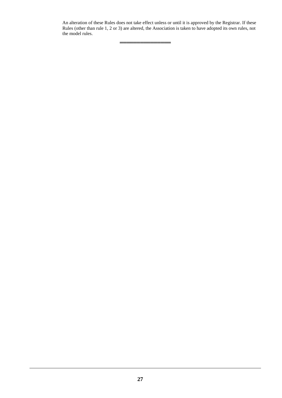An alteration of these Rules does not take effect unless or until it is approved by the Registrar. If these Rules (other than rule 1, 2 or 3) are altered, the Association is taken to have adopted its own rules, not the model rules.

═══════════════